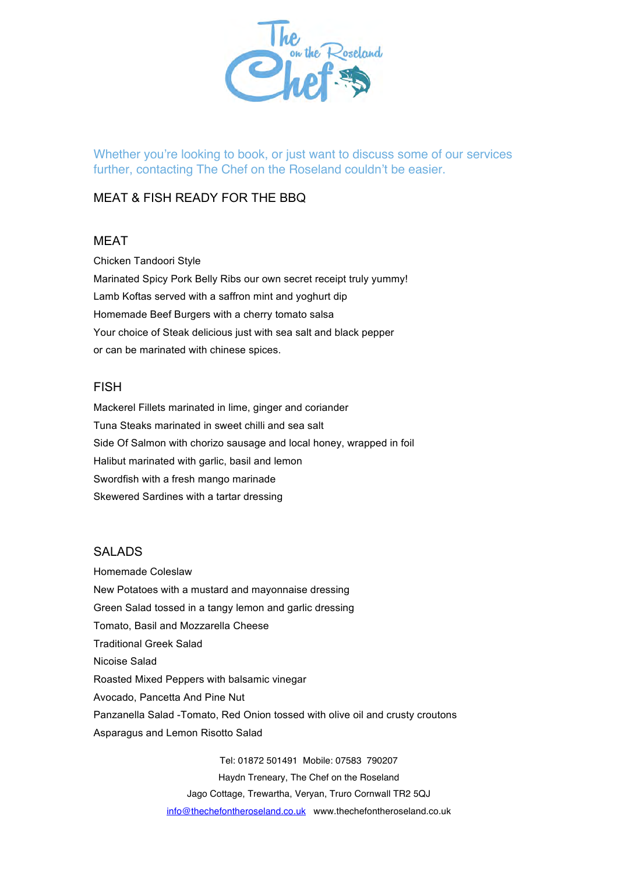

Whether you're looking to book, or just want to discuss some of our services further, contacting The Chef on the Roseland couldn't be easier.

# MEAT & FISH READY FOR THE BBQ

# MEAT

Chicken Tandoori Style Marinated Spicy Pork Belly Ribs our own secret receipt truly yummy! Lamb Koftas served with a saffron mint and yoghurt dip Homemade Beef Burgers with a cherry tomato salsa Your choice of Steak delicious just with sea salt and black pepper or can be marinated with chinese spices.

## FISH

Mackerel Fillets marinated in lime, ginger and coriander Tuna Steaks marinated in sweet chilli and sea salt Side Of Salmon with chorizo sausage and local honey, wrapped in foil Halibut marinated with garlic, basil and lemon Swordfish with a fresh mango marinade Skewered Sardines with a tartar dressing

# SALADS

Homemade Coleslaw New Potatoes with a mustard and mayonnaise dressing Green Salad tossed in a tangy lemon and garlic dressing Tomato, Basil and Mozzarella Cheese Traditional Greek Salad Nicoise Salad Roasted Mixed Peppers with balsamic vinegar Avocado, Pancetta And Pine Nut Panzanella Salad -Tomato, Red Onion tossed with olive oil and crusty croutons Asparagus and Lemon Risotto Salad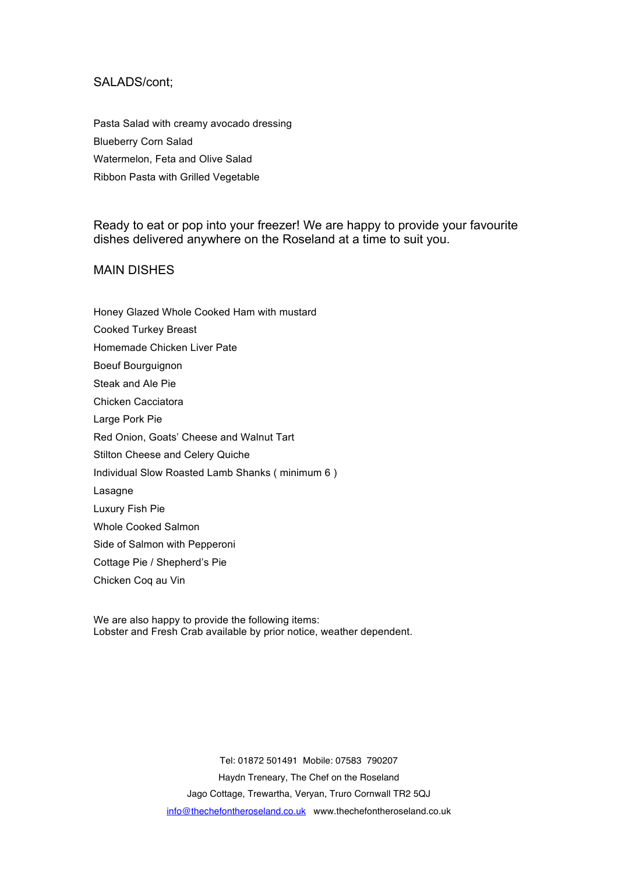#### SALADS/cont;

Pasta Salad with creamy avocado dressing Blueberry Corn Salad Watermelon, Feta and Olive Salad Ribbon Pasta with Grilled Vegetable

Ready to eat or pop into your freezer! We are happy to provide your favourite dishes delivered anywhere on the Roseland at a time to suit you.

## MAIN DISHES

- Honey Glazed Whole Cooked Ham with mustard
- Cooked Turkey Breast
- Homemade Chicken Liver Pate
- Boeuf Bourguignon
- Steak and Ale Pie
- Chicken Cacciatora
- Large Pork Pie
- Red Onion, Goats' Cheese and Walnut Tart
- Stilton Cheese and Celery Quiche
- Individual Slow Roasted Lamb Shanks ( minimum 6 )
- Lasagne
- Luxury Fish Pie
- Whole Cooked Salmon
- Side of Salmon with Pepperoni
- Cottage Pie / Shepherd's Pie
- Chicken Coq au Vin

We are also happy to provide the following items: Lobster and Fresh Crab available by prior notice, weather dependent.